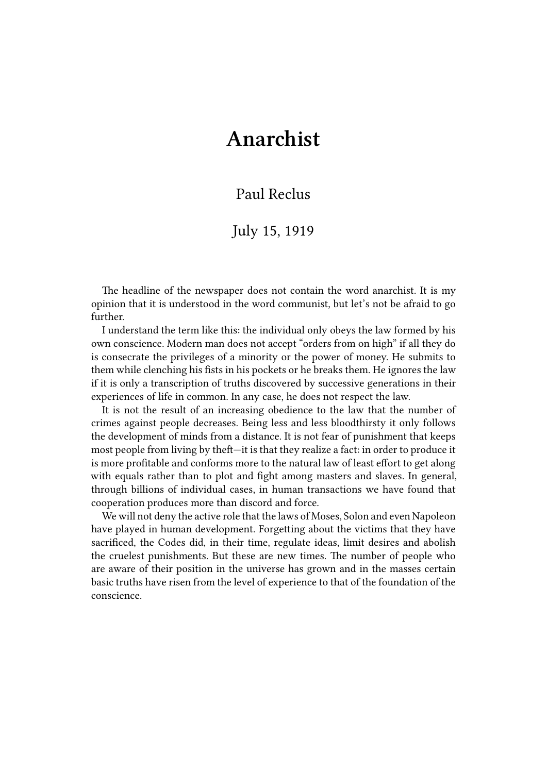## **Anarchist**

## Paul Reclus

## July 15, 1919

The headline of the newspaper does not contain the word anarchist. It is my opinion that it is understood in the word communist, but let's not be afraid to go further.

I understand the term like this: the individual only obeys the law formed by his own conscience. Modern man does not accept "orders from on high" if all they do is consecrate the privileges of a minority or the power of money. He submits to them while clenching his fists in his pockets or he breaks them. He ignores the law if it is only a transcription of truths discovered by successive generations in their experiences of life in common. In any case, he does not respect the law.

It is not the result of an increasing obedience to the law that the number of crimes against people decreases. Being less and less bloodthirsty it only follows the development of minds from a distance. It is not fear of punishment that keeps most people from living by theft—it is that they realize a fact: in order to produce it is more profitable and conforms more to the natural law of least effort to get along with equals rather than to plot and fight among masters and slaves. In general, through billions of individual cases, in human transactions we have found that cooperation produces more than discord and force.

We will not deny the active role that the laws of Moses, Solon and even Napoleon have played in human development. Forgetting about the victims that they have sacrificed, the Codes did, in their time, regulate ideas, limit desires and abolish the cruelest punishments. But these are new times. The number of people who are aware of their position in the universe has grown and in the masses certain basic truths have risen from the level of experience to that of the foundation of the conscience.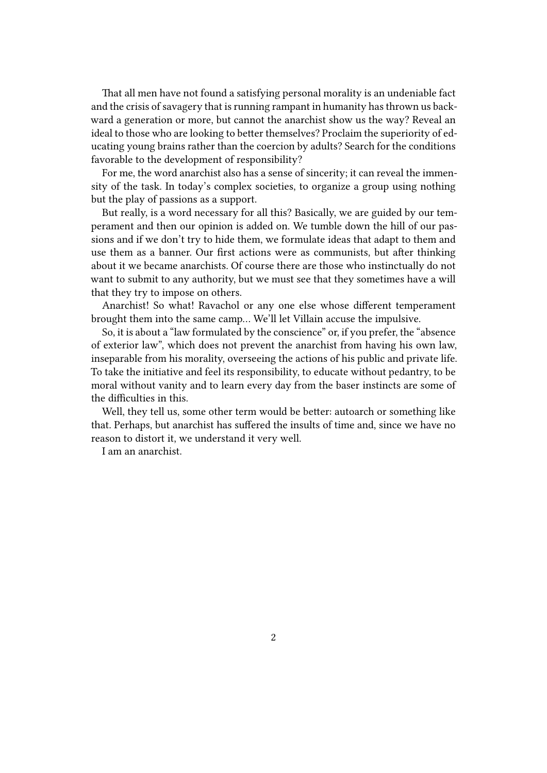That all men have not found a satisfying personal morality is an undeniable fact and the crisis of savagery that is running rampant in humanity has thrown us backward a generation or more, but cannot the anarchist show us the way? Reveal an ideal to those who are looking to better themselves? Proclaim the superiority of educating young brains rather than the coercion by adults? Search for the conditions favorable to the development of responsibility?

For me, the word anarchist also has a sense of sincerity; it can reveal the immensity of the task. In today's complex societies, to organize a group using nothing but the play of passions as a support.

But really, is a word necessary for all this? Basically, we are guided by our temperament and then our opinion is added on. We tumble down the hill of our passions and if we don't try to hide them, we formulate ideas that adapt to them and use them as a banner. Our first actions were as communists, but after thinking about it we became anarchists. Of course there are those who instinctually do not want to submit to any authority, but we must see that they sometimes have a will that they try to impose on others.

Anarchist! So what! Ravachol or any one else whose different temperament brought them into the same camp… We'll let Villain accuse the impulsive.

So, it is about a "law formulated by the conscience" or, if you prefer, the "absence of exterior law", which does not prevent the anarchist from having his own law, inseparable from his morality, overseeing the actions of his public and private life. To take the initiative and feel its responsibility, to educate without pedantry, to be moral without vanity and to learn every day from the baser instincts are some of the difficulties in this.

Well, they tell us, some other term would be better: autoarch or something like that. Perhaps, but anarchist has suffered the insults of time and, since we have no reason to distort it, we understand it very well.

I am an anarchist.